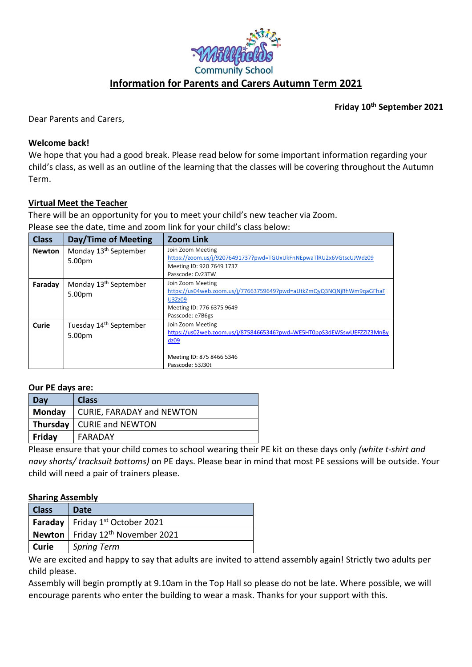

**Friday 10th September 2021**

Dear Parents and Carers,

### **Welcome back!**

We hope that you had a good break. Please read below for some important information regarding your child's class, as well as an outline of the learning that the classes will be covering throughout the Autumn Term.

# **Virtual Meet the Teacher**

There will be an opportunity for you to meet your child's new teacher via Zoom. Please see the date, time and zoom link for your child's class below:

| <b>Class</b>  | Day/Time of Meeting                          | <b>Zoom Link</b>                                                                                                                                     |
|---------------|----------------------------------------------|------------------------------------------------------------------------------------------------------------------------------------------------------|
| <b>Newton</b> | Monday 13 <sup>th</sup> September<br>5.00pm  | Join Zoom Meeting<br>https://zoom.us/j/92076491737?pwd=TGUxUkFnNEpwaTlRU2x6VGtscUJWdz09<br>Meeting ID: 920 7649 1737<br>Passcode: Cv23TW             |
| Faraday       | Monday 13 <sup>th</sup> September<br>5.00pm  | Join Zoom Meeting<br>https://us04web.zoom.us/j/77663759649?pwd=aUtkZmQyQ3NQNjRhWm9qaGFhaF<br>U3Zz09<br>Meeting ID: 776 6375 9649<br>Passcode: e7B6gs |
| Curie         | Tuesday 14 <sup>th</sup> September<br>5.00pm | Join Zoom Meeting<br>https://us02web.zoom.us/j/87584665346?pwd=WE5HT0ppS3dEWSswUEFZZlZ3MnBy<br>dz09<br>Meeting ID: 875 8466 5346<br>Passcode: 53J30t |

### **Our PE days are:**

| Day    | <b>Class</b>                |
|--------|-----------------------------|
| Monday | CURIE, FARADAY and NEWTON   |
|        | Thursday   CURIE and NEWTON |
| Friday | FARADAY                     |

Please ensure that your child comes to school wearing their PE kit on these days only *(white t-shirt and navy shorts/ tracksuit bottoms)* on PE days. Please bear in mind that most PE sessions will be outside. Your child will need a pair of trainers please.

### **Sharing Assembly**

| <b>Class</b> | Date                                               |
|--------------|----------------------------------------------------|
|              | <b>Faraday</b> Friday 1 <sup>st</sup> October 2021 |
|              | Newton   Friday $12th$ November 2021               |
| Curie        | Spring Term                                        |

We are excited and happy to say that adults are invited to attend assembly again! Strictly two adults per child please.

Assembly will begin promptly at 9.10am in the Top Hall so please do not be late. Where possible, we will encourage parents who enter the building to wear a mask. Thanks for your support with this.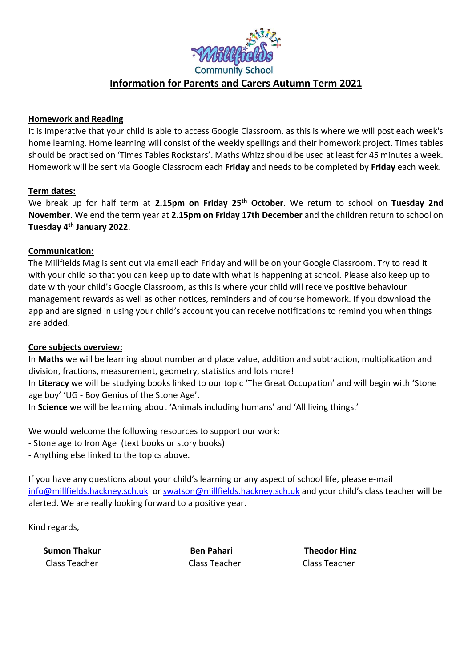

## **Homework and Reading**

It is imperative that your child is able to access Google Classroom, as this is where we will post each week's home learning. Home learning will consist of the weekly spellings and their homework project. Times tables should be practised on 'Times Tables Rockstars'. Maths Whizz should be used at least for 45 minutes a week. Homework will be sent via Google Classroom each **Friday** and needs to be completed by **Friday** each week.

## **Term dates:**

We break up for half term at **2.15pm on Friday 25th October**. We return to school on **Tuesday 2nd November**. We end the term year at **2.15pm on Friday 17th December** and the children return to school on **Tuesday 4th January 2022**.

## **Communication:**

The Millfields Mag is sent out via email each Friday and will be on your Google Classroom. Try to read it with your child so that you can keep up to date with what is happening at school. Please also keep up to date with your child's Google Classroom, as this is where your child will receive positive behaviour management rewards as well as other notices, reminders and of course homework. If you download the app and are signed in using your child's account you can receive notifications to remind you when things are added.

### **Core subjects overview:**

In **Maths** we will be learning about number and place value, addition and subtraction, multiplication and division, fractions, measurement, geometry, statistics and lots more!

In **Literacy** we will be studying books linked to our topic 'The Great Occupation' and will begin with 'Stone age boy' 'UG - Boy Genius of the Stone Age'.

In **Science** we will be learning about 'Animals including humans' and 'All living things.'

We would welcome the following resources to support our work:

- Stone age to Iron Age (text books or story books)
- Anything else linked to the topics above.

If you have any questions about your child's learning or any aspect of school life, please e-mail [info@millfields.hackney.sch.uk](mailto:info@millfields.hackney.sch.uk) o[r swatson@millfields.hackney.sch.uk](mailto:swatson@millfields.hackney.sch.uk) and your child's class teacher will be alerted. We are really looking forward to a positive year.

Kind regards,

 **Sumon Thakur Ben Pahari Theodor Hinz** Class Teacher Class Teacher Class Teacher